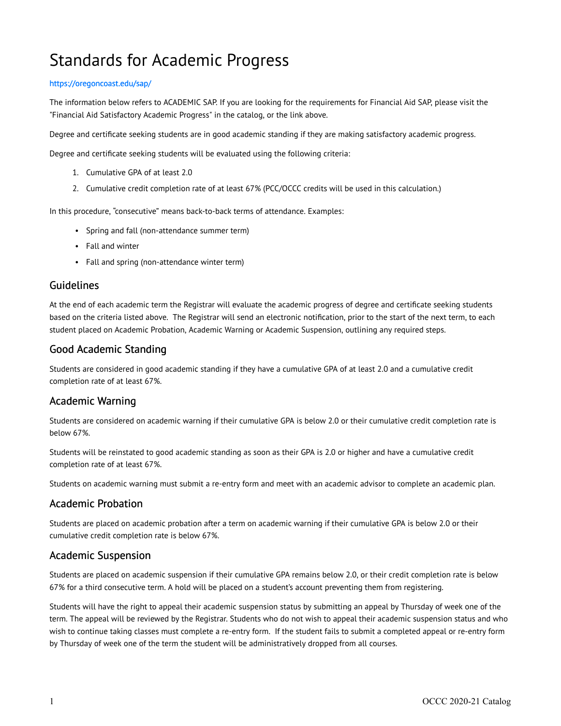# Standards for Academic Progress

#### <https://oregoncoast.edu/sap/>

The information below refers to ACADEMIC SAP. If you are looking for the requirements for Financial Aid SAP, please visit the "Financial Aid Satisfactory Academic Progress" in the catalog, or the link above.

Degree and certificate seeking students are in good academic standing if they are making satisfactory academic progress.

Degree and certificate seeking students will be evaluated using the following criteria:

- 1. Cumulative GPA of at least 2.0
- 2. Cumulative credit completion rate of at least 67% (PCC/OCCC credits will be used in this calculation.)

In this procedure, "consecutive" means back-to-back terms of attendance. Examples:

- Spring and fall (non-attendance summer term)
- Fall and winter
- Fall and spring (non-attendance winter term)

#### Guidelines

At the end of each academic term the Registrar will evaluate the academic progress of degree and certificate seeking students based on the criteria listed above. The Registrar will send an electronic notification, prior to the start of the next term, to each student placed on Academic Probation, Academic Warning or Academic Suspension, outlining any required steps.

## Good Academic Standing

Students are considered in good academic standing if they have a cumulative GPA of at least 2.0 and a cumulative credit completion rate of at least 67%.

## Academic Warning

Students are considered on academic warning if their cumulative GPA is below 2.0 or their cumulative credit completion rate is below 67%.

Students will be reinstated to good academic standing as soon as their GPA is 2.0 or higher and have a cumulative credit completion rate of at least 67%.

Students on academic warning must submit a re-entry form and meet with an academic advisor to complete an academic plan.

## Academic Probation

Students are placed on academic probation after a term on academic warning if their cumulative GPA is below 2.0 or their cumulative credit completion rate is below 67%.

#### Academic Suspension

Students are placed on academic suspension if their cumulative GPA remains below 2.0, or their credit completion rate is below 67% for a third consecutive term. A hold will be placed on a student's account preventing them from registering.

Students will have the right to appeal their academic suspension status by submitting an appeal by Thursday of week one of the term. The appeal will be reviewed by the Registrar. Students who do not wish to appeal their academic suspension status and who wish to continue taking classes must complete a re-entry form. If the student fails to submit a completed appeal or re-entry form by Thursday of week one of the term the student will be administratively dropped from all courses.